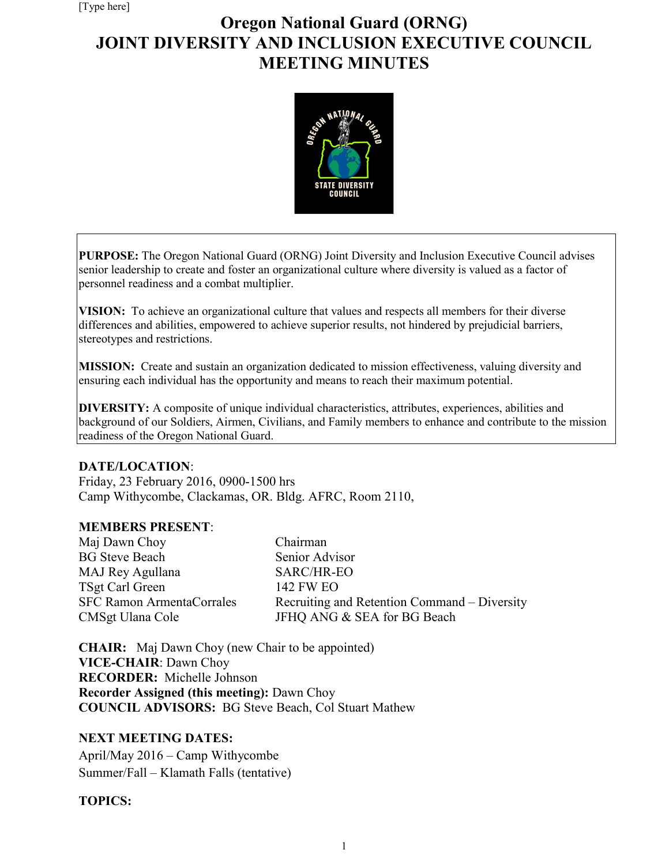# **Oregon National Guard (ORNG) JOINT DIVERSITY AND INCLUSION EXECUTIVE COUNCIL MEETING MINUTES**



**PURPOSE:** The Oregon National Guard (ORNG) Joint Diversity and Inclusion Executive Council advises senior leadership to create and foster an organizational culture where diversity is valued as a factor of personnel readiness and a combat multiplier.

**VISION:** To achieve an organizational culture that values and respects all members for their diverse differences and abilities, empowered to achieve superior results, not hindered by prejudicial barriers, stereotypes and restrictions.

**MISSION:** Create and sustain an organization dedicated to mission effectiveness, valuing diversity and ensuring each individual has the opportunity and means to reach their maximum potential.

**DIVERSITY:** A composite of unique individual characteristics, attributes, experiences, abilities and background of our Soldiers, Airmen, Civilians, and Family members to enhance and contribute to the mission readiness of the Oregon National Guard.

## **DATE/LOCATION**:

Friday, 23 February 2016, 0900-1500 hrs Camp Withycombe, Clackamas, OR. Bldg. AFRC, Room 2110,

## **MEMBERS PRESENT**:

| Maj Dawn Choy                                        | Chairman                                                                    |
|------------------------------------------------------|-----------------------------------------------------------------------------|
| <b>BG Steve Beach</b>                                | Senior Advisor                                                              |
| MAJ Rey Agullana                                     | SARC/HR-EO                                                                  |
| TSgt Carl Green                                      | 142 FW EO                                                                   |
| <b>SFC Ramon ArmentaCorrales</b><br>CMSgt Ulana Cole | Recruiting and Retention Command – Diversity<br>JFHQ ANG & SEA for BG Beach |

**CHAIR:** Maj Dawn Choy (new Chair to be appointed) **VICE-CHAIR**: Dawn Choy **RECORDER:** Michelle Johnson **Recorder Assigned (this meeting):** Dawn Choy **COUNCIL ADVISORS:** BG Steve Beach, Col Stuart Mathew

## **NEXT MEETING DATES:**

April/May 2016 – Camp Withycombe Summer/Fall – Klamath Falls (tentative)

## **TOPICS:**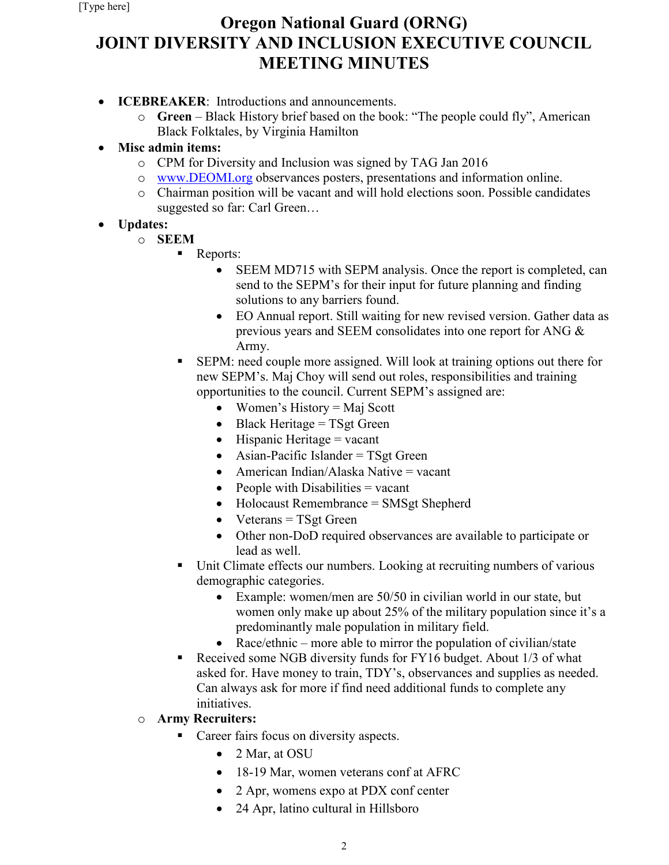# **Oregon National Guard (ORNG) JOINT DIVERSITY AND INCLUSION EXECUTIVE COUNCIL MEETING MINUTES**

- **ICEBREAKER**:Introductions and announcements.
	- o **Green**  Black History brief based on the book: "The people could fly", American Black Folktales, by Virginia Hamilton
- **Misc admin items:**
	- o CPM for Diversity and Inclusion was signed by TAG Jan 2016
	- o [www.DEOMI.org](http://www.deomi.org/) observances posters, presentations and information online.
	- o Chairman position will be vacant and will hold elections soon. Possible candidates suggested so far: Carl Green…
- **Updates:**
	- o **SEEM**
		- Reports:
			- SEEM MD715 with SEPM analysis. Once the report is completed, can send to the SEPM's for their input for future planning and finding solutions to any barriers found.
			- EO Annual report. Still waiting for new revised version. Gather data as previous years and SEEM consolidates into one report for ANG & Army.
		- SEPM: need couple more assigned. Will look at training options out there for new SEPM's. Maj Choy will send out roles, responsibilities and training opportunities to the council. Current SEPM's assigned are:
			- Women's History = Maj Scott
			- Black Heritage = TSgt Green
			- Hispanic Heritage  $=$  vacant
			- Asian-Pacific Islander = TSgt Green
			- American Indian/Alaska Native = vacant
			- People with Disabilities  $=$  vacant
			- Holocaust Remembrance = SMSgt Shepherd
			- Veterans  $=$  TSgt Green
			- Other non-DoD required observances are available to participate or lead as well.
		- Unit Climate effects our numbers. Looking at recruiting numbers of various demographic categories.
			- Example: women/men are 50/50 in civilian world in our state, but women only make up about 25% of the military population since it's a predominantly male population in military field.
			- Race/ethnic more able to mirror the population of civilian/state
		- Received some NGB diversity funds for FY16 budget. About 1/3 of what asked for. Have money to train, TDY's, observances and supplies as needed. Can always ask for more if find need additional funds to complete any initiatives.
	- o **Army Recruiters:**
		- Career fairs focus on diversity aspects.
			- 2 Mar, at OSU
			- 18-19 Mar, women veterans conf at AFRC
			- 2 Apr, womens expo at PDX conf center
			- 24 Apr, latino cultural in Hillsboro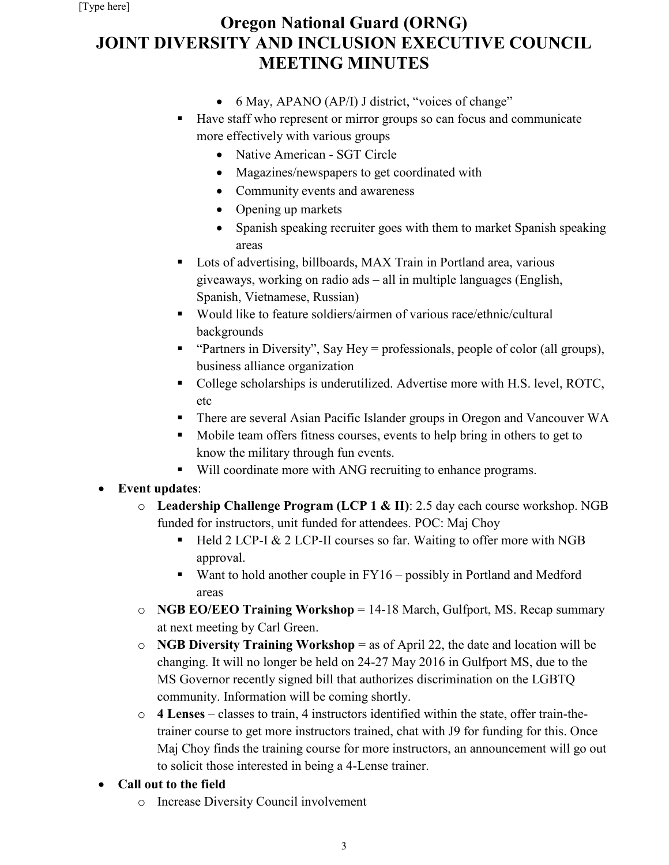# **Oregon National Guard (ORNG) JOINT DIVERSITY AND INCLUSION EXECUTIVE COUNCIL MEETING MINUTES**

- 6 May, APANO (AP/I) J district, "voices of change"
- Have staff who represent or mirror groups so can focus and communicate more effectively with various groups
	- Native American SGT Circle
	- Magazines/newspapers to get coordinated with
	- Community events and awareness
	- Opening up markets
	- Spanish speaking recruiter goes with them to market Spanish speaking areas
- Lots of advertising, billboards, MAX Train in Portland area, various giveaways, working on radio ads – all in multiple languages (English, Spanish, Vietnamese, Russian)
- Would like to feature soldiers/airmen of various race/ethnic/cultural backgrounds
- " "Partners in Diversity", Say Hey = professionals, people of color (all groups), business alliance organization
- College scholarships is underutilized. Advertise more with H.S. level, ROTC, etc
- There are several Asian Pacific Islander groups in Oregon and Vancouver WA
- Mobile team offers fitness courses, events to help bring in others to get to know the military through fun events.
- Will coordinate more with ANG recruiting to enhance programs.

# • **Event updates**:

- o **Leadership Challenge Program (LCP 1 & II)**: 2.5 day each course workshop. NGB funded for instructors, unit funded for attendees. POC: Maj Choy
	- $\blacksquare$  Held 2 LCP-I & 2 LCP-II courses so far. Waiting to offer more with NGB approval.
	- Want to hold another couple in  $FY16$  possibly in Portland and Medford areas
- o **NGB EO/EEO Training Workshop** = 14-18 March, Gulfport, MS. Recap summary at next meeting by Carl Green.
- o **NGB Diversity Training Workshop** = as of April 22, the date and location will be changing. It will no longer be held on 24-27 May 2016 in Gulfport MS, due to the MS Governor recently signed bill that authorizes discrimination on the LGBTQ community. Information will be coming shortly.
- o **4 Lenses** classes to train, 4 instructors identified within the state, offer train-thetrainer course to get more instructors trained, chat with J9 for funding for this. Once Maj Choy finds the training course for more instructors, an announcement will go out to solicit those interested in being a 4-Lense trainer.
- **Call out to the field**
	- o Increase Diversity Council involvement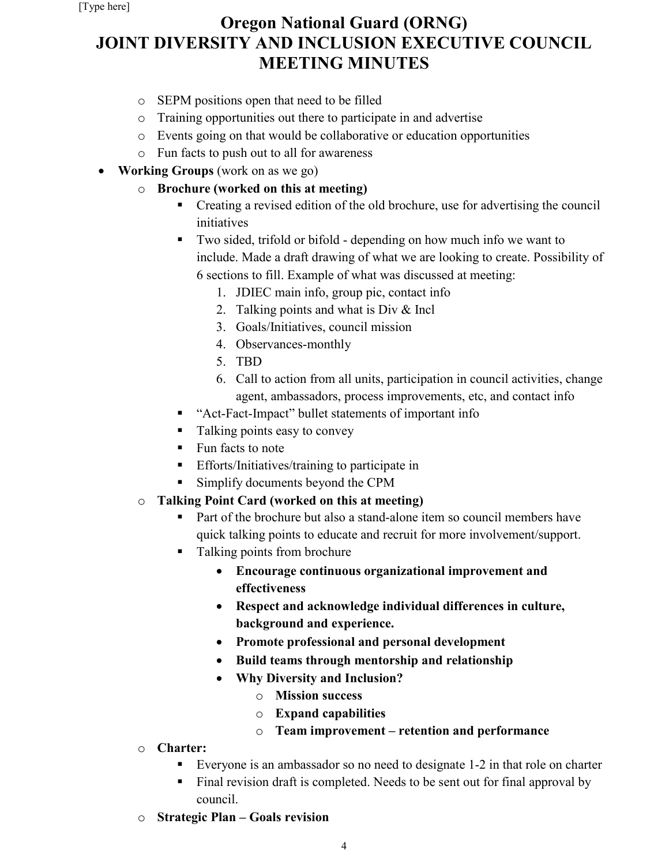# **Oregon National Guard (ORNG) JOINT DIVERSITY AND INCLUSION EXECUTIVE COUNCIL MEETING MINUTES**

- o SEPM positions open that need to be filled
- o Training opportunities out there to participate in and advertise
- o Events going on that would be collaborative or education opportunities
- o Fun facts to push out to all for awareness
- **Working Groups** (work on as we go)
	- o **Brochure (worked on this at meeting)**
		- Creating a revised edition of the old brochure, use for advertising the council initiatives
		- Two sided, trifold or bifold depending on how much info we want to include. Made a draft drawing of what we are looking to create. Possibility of 6 sections to fill. Example of what was discussed at meeting:
			- 1. JDIEC main info, group pic, contact info
			- 2. Talking points and what is Div & Incl
			- 3. Goals/Initiatives, council mission
			- 4. Observances-monthly
			- 5. TBD
			- 6. Call to action from all units, participation in council activities, change agent, ambassadors, process improvements, etc, and contact info
		- "Act-Fact-Impact" bullet statements of important info
		- Talking points easy to convey
		- Fun facts to note
		- **Efforts/Initiatives/training to participate in**
		- Simplify documents beyond the CPM

# o **Talking Point Card (worked on this at meeting)**

- **Part of the brochure but also a stand-alone item so council members have** quick talking points to educate and recruit for more involvement/support.
- Talking points from brochure
	- **Encourage continuous organizational improvement and effectiveness**
	- **Respect and acknowledge individual differences in culture, background and experience.**
	- **Promote professional and personal development**
	- **Build teams through mentorship and relationship**
	- **Why Diversity and Inclusion?**
		- o **Mission success**
		- o **Expand capabilities**
		- o **Team improvement – retention and performance**
- o **Charter:** 
	- Everyone is an ambassador so no need to designate 1-2 in that role on charter
	- Final revision draft is completed. Needs to be sent out for final approval by council.
- o **Strategic Plan – Goals revision**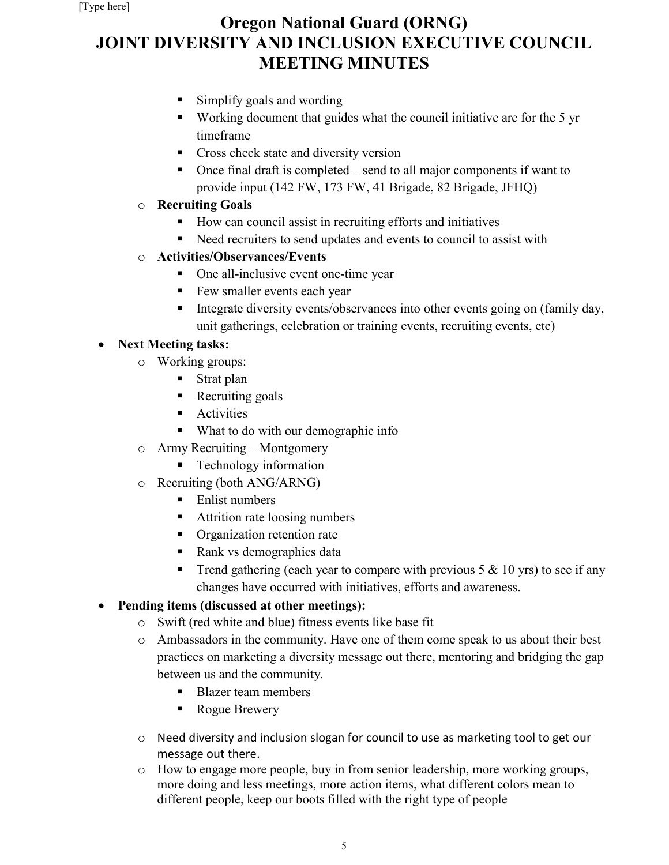# **Oregon National Guard (ORNG) JOINT DIVERSITY AND INCLUSION EXECUTIVE COUNCIL MEETING MINUTES**

- Simplify goals and wording
- Working document that guides what the council initiative are for the 5 yr timeframe
- **Cross check state and diversity version**
- Once final draft is completed send to all major components if want to provide input (142 FW, 173 FW, 41 Brigade, 82 Brigade, JFHQ)

## o **Recruiting Goals**

- How can council assist in recruiting efforts and initiatives
- Reed recruiters to send updates and events to council to assist with

## o **Activities/Observances/Events**

- One all-inclusive event one-time year
- Few smaller events each year
- Integrate diversity events/observances into other events going on (family day, unit gatherings, celebration or training events, recruiting events, etc)

# • **Next Meeting tasks:**

- o Working groups:
	- **Strat plan**
	- Recruiting goals
	- **Activities**
	- What to do with our demographic info
- o Army Recruiting Montgomery
	- **Technology information**
- o Recruiting (both ANG/ARNG)
	- Enlist numbers
	- Attrition rate loosing numbers
	- **•** Organization retention rate
	- Rank vs demographics data
	- Trend gathering (each year to compare with previous  $5 \& 10$  yrs) to see if any changes have occurred with initiatives, efforts and awareness.

# • **Pending items (discussed at other meetings):**

- o Swift (red white and blue) fitness events like base fit
- o Ambassadors in the community. Have one of them come speak to us about their best practices on marketing a diversity message out there, mentoring and bridging the gap between us and the community.
	- Blazer team members
	- Rogue Brewery
- o Need diversity and inclusion slogan for council to use as marketing tool to get our message out there.
- o How to engage more people, buy in from senior leadership, more working groups, more doing and less meetings, more action items, what different colors mean to different people, keep our boots filled with the right type of people